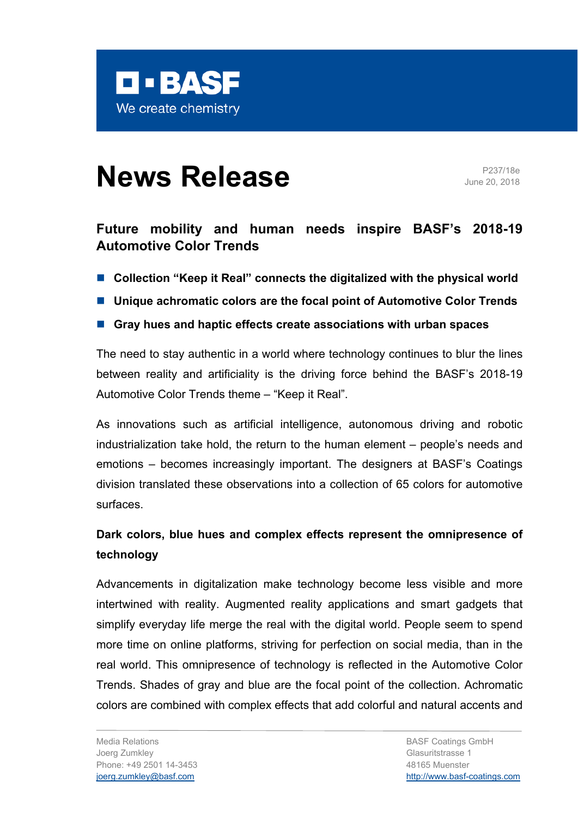

# **News Release** Parties and Parties **Release**

June 20, 2018

# **Future mobility and human needs inspire BASF's 2018-19 Automotive Color Trends**

- Collection "Keep it Real" connects the digitalized with the physical world
- Unique achromatic colors are the focal point of Automotive Color Trends
- Gray hues and haptic effects create associations with urban spaces

The need to stay authentic in a world where technology continues to blur the lines between reality and artificiality is the driving force behind the BASF's 2018-19 Automotive Color Trends theme – "Keep it Real".

As innovations such as artificial intelligence, autonomous driving and robotic industrialization take hold, the return to the human element – people's needs and emotions – becomes increasingly important. The designers at BASF's Coatings division translated these observations into a collection of 65 colors for automotive surfaces.

# **Dark colors, blue hues and complex effects represent the omnipresence of technology**

Advancements in digitalization make technology become less visible and more intertwined with reality. Augmented reality applications and smart gadgets that simplify everyday life merge the real with the digital world. People seem to spend more time on online platforms, striving for perfection on social media, than in the real world. This omnipresence of technology is reflected in the Automotive Color Trends. Shades of gray and blue are the focal point of the collection. Achromatic colors are combined with complex effects that add colorful and natural accents and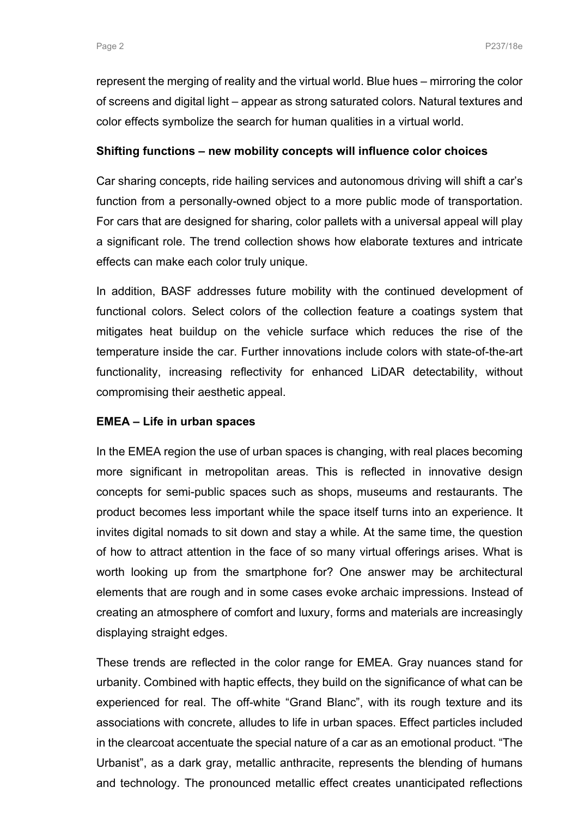represent the merging of reality and the virtual world. Blue hues – mirroring the color of screens and digital light – appear as strong saturated colors. Natural textures and color effects symbolize the search for human qualities in a virtual world.

## **Shifting functions – new mobility concepts will influence color choices**

Car sharing concepts, ride hailing services and autonomous driving will shift a car's function from a personally-owned object to a more public mode of transportation. For cars that are designed for sharing, color pallets with a universal appeal will play a significant role. The trend collection shows how elaborate textures and intricate effects can make each color truly unique.

In addition, BASF addresses future mobility with the continued development of functional colors. Select colors of the collection feature a coatings system that mitigates heat buildup on the vehicle surface which reduces the rise of the temperature inside the car. Further innovations include colors with state-of-the-art functionality, increasing reflectivity for enhanced LiDAR detectability, without compromising their aesthetic appeal.

# **EMEA – Life in urban spaces**

In the EMEA region the use of urban spaces is changing, with real places becoming more significant in metropolitan areas. This is reflected in innovative design concepts for semi-public spaces such as shops, museums and restaurants. The product becomes less important while the space itself turns into an experience. It invites digital nomads to sit down and stay a while. At the same time, the question of how to attract attention in the face of so many virtual offerings arises. What is worth looking up from the smartphone for? One answer may be architectural elements that are rough and in some cases evoke archaic impressions. Instead of creating an atmosphere of comfort and luxury, forms and materials are increasingly displaying straight edges.

These trends are reflected in the color range for EMEA. Gray nuances stand for urbanity. Combined with haptic effects, they build on the significance of what can be experienced for real. The off-white "Grand Blanc", with its rough texture and its associations with concrete, alludes to life in urban spaces. Effect particles included in the clearcoat accentuate the special nature of a car as an emotional product. "The Urbanist", as a dark gray, metallic anthracite, represents the blending of humans and technology. The pronounced metallic effect creates unanticipated reflections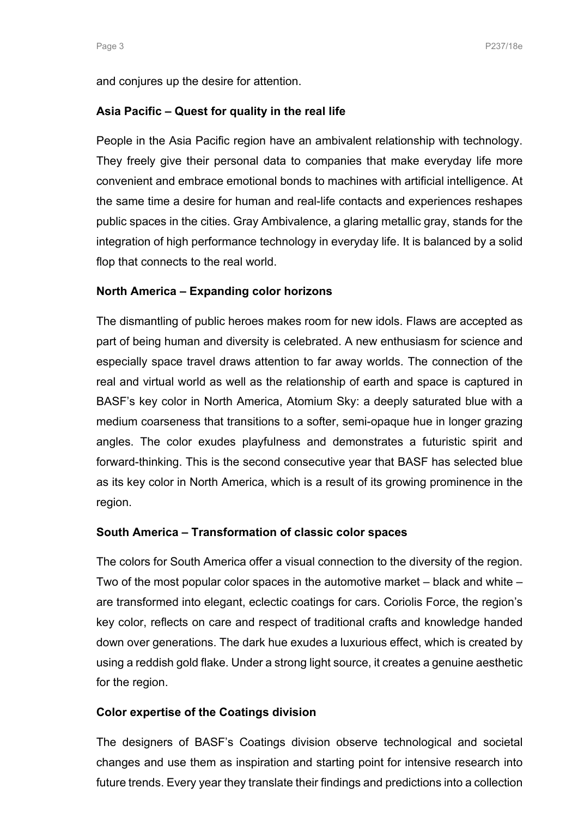and conjures up the desire for attention.

### **Asia Pacific – Quest for quality in the real life**

People in the Asia Pacific region have an ambivalent relationship with technology. They freely give their personal data to companies that make everyday life more convenient and embrace emotional bonds to machines with artificial intelligence. At the same time a desire for human and real-life contacts and experiences reshapes public spaces in the cities. Gray Ambivalence, a glaring metallic gray, stands for the integration of high performance technology in everyday life. It is balanced by a solid flop that connects to the real world.

## **North America – Expanding color horizons**

The dismantling of public heroes makes room for new idols. Flaws are accepted as part of being human and diversity is celebrated. A new enthusiasm for science and especially space travel draws attention to far away worlds. The connection of the real and virtual world as well as the relationship of earth and space is captured in BASF's key color in North America, Atomium Sky: a deeply saturated blue with a medium coarseness that transitions to a softer, semi-opaque hue in longer grazing angles. The color exudes playfulness and demonstrates a futuristic spirit and forward-thinking. This is the second consecutive year that BASF has selected blue as its key color in North America, which is a result of its growing prominence in the region.

#### **South America – Transformation of classic color spaces**

The colors for South America offer a visual connection to the diversity of the region. Two of the most popular color spaces in the automotive market – black and white – are transformed into elegant, eclectic coatings for cars. Coriolis Force, the region's key color, reflects on care and respect of traditional crafts and knowledge handed down over generations. The dark hue exudes a luxurious effect, which is created by using a reddish gold flake. Under a strong light source, it creates a genuine aesthetic for the region.

#### **Color expertise of the Coatings division**

The designers of BASF's Coatings division observe technological and societal changes and use them as inspiration and starting point for intensive research into future trends. Every year they translate their findings and predictions into a collection